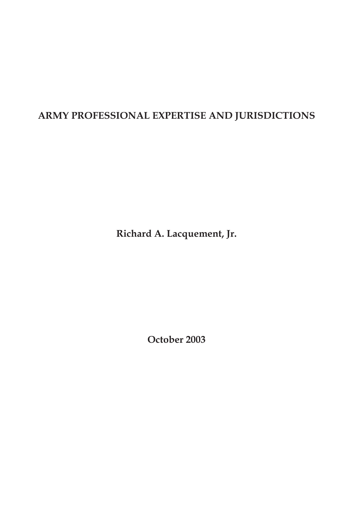# **ARMY PROFESSIONAL EXPERTISE AND JURISDICTIONS**

**Richard A. Lacquement, Jr.**

**October 2003**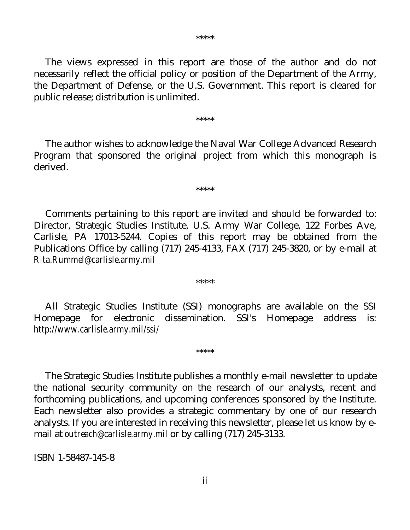The views expressed in this report are those of the author and do not necessarily reflect the official policy or position of the Department of the Army, the Department of Defense, or the U.S. Government. This report is cleared for public release; distribution is unlimited.

\*\*\*\*\*

 The author wishes to acknowledge the Naval War College Advanced Research Program that sponsored the original project from which this monograph is derived.

\*\*\*\*\*

 Comments pertaining to this report are invited and should be forwarded to: Director, Strategic Studies Institute, U.S. Army War College, 122 Forbes Ave, Carlisle, PA 17013-5244. Copies of this report may be obtained from the Publications Office by calling (717) 245-4133, FAX (717) 245-3820, or by e-mail at *Rita.Rummel@carlisle.army.mil*

 All Strategic Studies Institute (SSI) monographs are available on the SSI Homepage for electronic dissemination. SSI's Homepage address is: *http://www.carlisle.army.mil/ssi/*

\*\*\*\*\*

\*\*\*\*\*

 The Strategic Studies Institute publishes a monthly e-mail newsletter to update the national security community on the research of our analysts, recent and forthcoming publications, and upcoming conferences sponsored by the Institute. Each newsletter also provides a strategic commentary by one of our research analysts. If you are interested in receiving this newsletter, please let us know by email at *outreach@carlisle.army.mil* or by calling (717) 245-3133.

ISBN 1-58487-145-8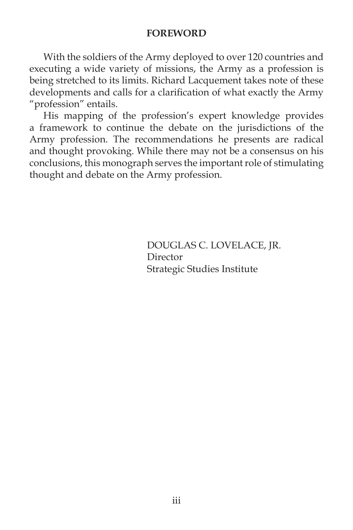#### **FOREWORD**

With the soldiers of the Army deployed to over 120 countries and executing a wide variety of missions, the Army as a profession is being stretched to its limits. Richard Lacquement takes note of these developments and calls for a clarification of what exactly the Army "profession" entails.

His mapping of the profession's expert knowledge provides a framework to continue the debate on the jurisdictions of the Army profession. The recommendations he presents are radical and thought provoking. While there may not be a consensus on his conclusions, this monograph serves the important role of stimulating thought and debate on the Army profession.

> DOUGLAS C. LOVELACE, JR. Director Strategic Studies Institute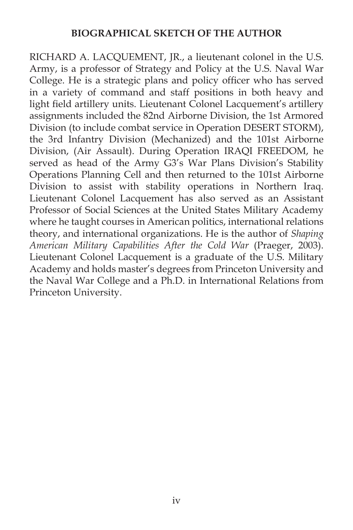#### **BIOGRAPHICAL SKETCH OF THE AUTHOR**

RICHARD A. LACQUEMENT, JR., a lieutenant colonel in the U.S. Army, is a professor of Strategy and Policy at the U.S. Naval War College. He is a strategic plans and policy officer who has served in a variety of command and staff positions in both heavy and light field artillery units. Lieutenant Colonel Lacquement's artillery assignments included the 82nd Airborne Division, the 1st Armored Division (to include combat service in Operation DESERT STORM), the 3rd Infantry Division (Mechanized) and the 101st Airborne Division, (Air Assault). During Operation IRAQI FREEDOM, he served as head of the Army G3's War Plans Division's Stability Operations Planning Cell and then returned to the 101st Airborne Division to assist with stability operations in Northern Iraq. Lieutenant Colonel Lacquement has also served as an Assistant Professor of Social Sciences at the United States Military Academy where he taught courses in American politics, international relations theory, and international organizations. He is the author of *Shaping American Military Capabilities After the Cold War* (Praeger, 2003). Lieutenant Colonel Lacquement is a graduate of the U.S. Military Academy and holds master's degrees from Princeton University and the Naval War College and a Ph.D. in International Relations from Princeton University.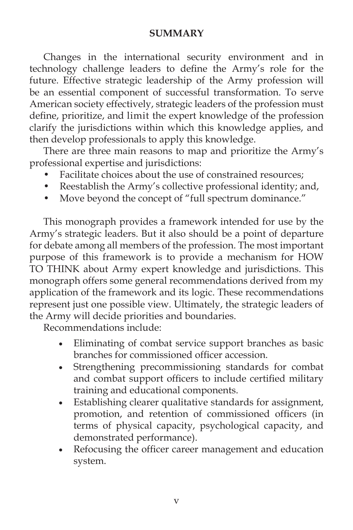### **SUMMARY**

Changes in the international security environment and in technology challenge leaders to define the Army's role for the future. Effective strategic leadership of the Army profession will be an essential component of successful transformation. To serve American society effectively, strategic leaders of the profession must define, prioritize, and limit the expert knowledge of the profession, clarify the jurisdictions within which this knowledge applies, and then develop professionals to apply this knowledge.

There are three main reasons to map and prioritize the Army's professional expertise and jurisdictions:

- Facilitate choices about the use of constrained resources;
- Reestablish the Army's collective professional identity; and,
- Move beyond the concept of "full spectrum dominance."

This monograph provides a framework intended for use by the Army's strategic leaders. But it also should be a point of departure for debate among all members of the profession. The most important purpose of this framework is to provide a mechanism for HOW TO THINK about Army expert knowledge and jurisdictions. This monograph offers some general recommendations derived from my application of the framework and its logic. These recommendations represent just one possible view. Ultimately, the strategic leaders of the Army will decide priorities and boundaries.

Recommendations include:

- Eliminating of combat service support branches as basic branches for commissioned officer accession.
- Strengthening precommissioning standards for combat and combat support officers to include certified military training and educational components.
- Establishing clearer qualitative standards for assignment, promotion, and retention of commissioned officers (in terms of physical capacity, psychological capacity, and demonstrated performance).
- Refocusing the officer career management and education system.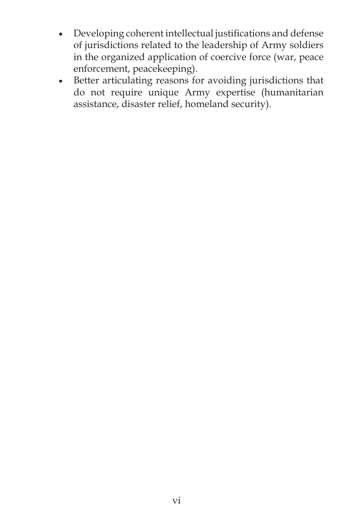- Developing coherent intellectual justifications and defense of jurisdictions related to the leadership of Army soldiers in the organized application of coercive force (war, peace enforcement, peacekeeping).
- Better articulating reasons for avoiding jurisdictions that do not require unique Army expertise (humanitarian assistance, disaster relief, homeland security).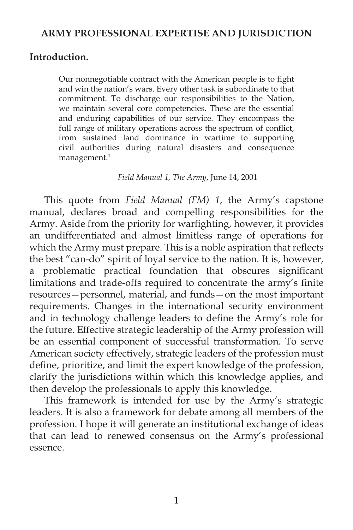#### **ARMY PROFESSIONAL EXPERTISE AND JURISDICTION**

#### **Introduction.**

Our nonnegotiable contract with the American people is to fight and win the nation's wars. Every other task is subordinate to that commitment. To discharge our responsibilities to the Nation, we maintain several core competencies. These are the essential and enduring capabilities of our service. They encompass the full range of military operations across the spectrum of conflict, from sustained land dominance in wartime to supporting civil authorities during natural disasters and consequence management.<sup>1</sup>

*Field Manual 1, The Army*, June 14, 2001

This quote from *Field Manual (FM) 1*, the Army's capstone manual, declares broad and compelling responsibilities for the Army. Aside from the priority for warfighting, however, it provides an undifferentiated and almost limitless range of operations for which the Army must prepare. This is a noble aspiration that reflects the best "can-do" spirit of loyal service to the nation. It is, however, a problematic practical foundation that obscures significant limitations and trade-offs required to concentrate the army's finite resources—personnel, material, and funds—on the most important requirements. Changes in the international security environment and in technology challenge leaders to define the Army's role for the future. Effective strategic leadership of the Army profession will be an essential component of successful transformation. To serve American society effectively, strategic leaders of the profession must define, prioritize, and limit the expert knowledge of the profession, clarify the jurisdictions within which this knowledge applies, and then develop the professionals to apply this knowledge.

This framework is intended for use by the Army's strategic leaders. It is also a framework for debate among all members of the profession. I hope it will generate an institutional exchange of ideas that can lead to renewed consensus on the Army's professional essence.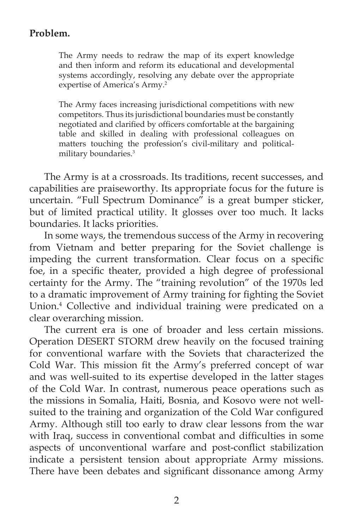# **Problem.**

The Army needs to redraw the map of its expert knowledge and then inform and reform its educational and developmental systems accordingly, resolving any debate over the appropriate expertise of America's Army.<sup>2</sup>

The Army faces increasing jurisdictional competitions with new competitors. Thus its jurisdictional boundaries must be constantly negotiated and clarified by officers comfortable at the bargaining table and skilled in dealing with professional colleagues on matters touching the profession's civil-military and politicalmilitary boundaries.3

The Army is at a crossroads. Its traditions, recent successes, and capabilities are praiseworthy. Its appropriate focus for the future is uncertain. "Full Spectrum Dominance" is a great bumper sticker, but of limited practical utility. It glosses over too much. It lacks boundaries. It lacks priorities.

In some ways, the tremendous success of the Army in recovering from Vietnam and better preparing for the Soviet challenge is impeding the current transformation. Clear focus on a specific foe, in a specific theater, provided a high degree of professional certainty for the Army. The "training revolution" of the 1970s led to a dramatic improvement of Army training for fighting the Soviet Union.4 Collective and individual training were predicated on a clear overarching mission.

The current era is one of broader and less certain missions. Operation DESERT STORM drew heavily on the focused training for conventional warfare with the Soviets that characterized the Cold War. This mission fit the Army's preferred concept of war and was well-suited to its expertise developed in the latter stages of the Cold War. In contrast, numerous peace operations such as the missions in Somalia, Haiti, Bosnia, and Kosovo were not wellsuited to the training and organization of the Cold War configured Army. Although still too early to draw clear lessons from the war with Iraq, success in conventional combat and difficulties in some aspects of unconventional warfare and post-conflict stabilization indicate a persistent tension about appropriate Army missions. There have been debates and significant dissonance among Army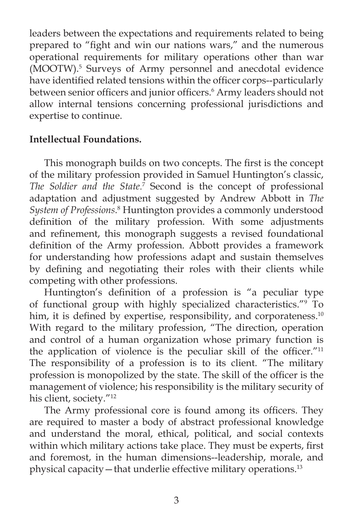leaders between the expectations and requirements related to being prepared to "fight and win our nations wars," and the numerous operational requirements for military operations other than war (MOOTW).5 Surveys of Army personnel and anecdotal evidence have identified related tensions within the officer corps--particularly between senior officers and junior officers.<sup>6</sup> Army leaders should not allow internal tensions concerning professional jurisdictions and expertise to continue.

# **Intellectual Foundations.**

This monograph builds on two concepts. The first is the concept of the military profession provided in Samuel Huntington's classic, The Soldier and the State.<sup>7</sup> Second is the concept of professional adaptation and adjustment suggested by Andrew Abbott in *The*  System of Professions.<sup>8</sup> Huntington provides a commonly understood definition of the military profession. With some adjustments and refinement, this monograph suggests a revised foundational definition of the Army profession. Abbott provides a framework for understanding how professions adapt and sustain themselves by defining and negotiating their roles with their clients while competing with other professions.

Huntington's definition of a profession is "a peculiar type of functional group with highly specialized characteristics."9 To him, it is defined by expertise, responsibility, and corporateness. $10$ With regard to the military profession, "The direction, operation and control of a human organization whose primary function is the application of violence is the peculiar skill of the officer." $11$ The responsibility of a profession is to its client. "The military profession is monopolized by the state. The skill of the officer is the management of violence; his responsibility is the military security of his client, society."<sup>12</sup>

The Army professional core is found among its officers. They are required to master a body of abstract professional knowledge and understand the moral, ethical, political, and social contexts within which military actions take place. They must be experts, first and foremost, in the human dimensions--leadership, morale, and physical capacity—that underlie effective military operations.13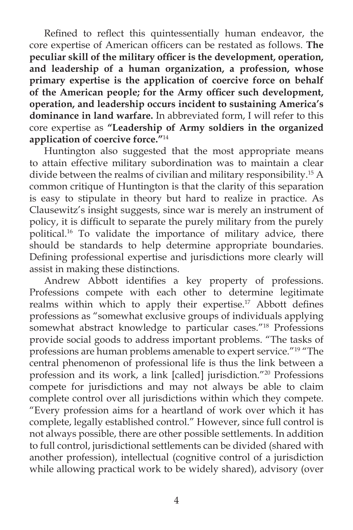Refined to reflect this quintessentially human endeavor, the core expertise of American officers can be restated as follows. The peculiar skill of the military officer is the development, operation, **and leadership of a human organization, a profession, whose primary expertise is the application of coercive force on behalf**  of the American people; for the Army officer such development, **operation, and leadership occurs incident to sustaining America's dominance in land warfare.** In abbreviated form, I will refer to this core expertise as **"Leadership of Army soldiers in the organized application of coercive force."**<sup>14</sup>

Huntington also suggested that the most appropriate means to attain effective military subordination was to maintain a clear divide between the realms of civilian and military responsibility.15 A common critique of Huntington is that the clarity of this separation is easy to stipulate in theory but hard to realize in practice. As Clausewitz's insight suggests, since war is merely an instrument of policy, it is difficult to separate the purely military from the purely political.16 To validate the importance of military advice, there should be standards to help determine appropriate boundaries. Defining professional expertise and jurisdictions more clearly will assist in making these distinctions.

Andrew Abbott identifies a key property of professions. Professions compete with each other to determine legitimate realms within which to apply their expertise.<sup>17</sup> Abbott defines professions as "somewhat exclusive groups of individuals applying somewhat abstract knowledge to particular cases."<sup>18</sup> Professions provide social goods to address important problems. "The tasks of professions are human problems amenable to expert service."19 "The central phenomenon of professional life is thus the link between a profession and its work, a link [called] jurisdiction."20 Professions compete for jurisdictions and may not always be able to claim complete control over all jurisdictions within which they compete. "Every profession aims for a heartland of work over which it has complete, legally established control." However, since full control is not always possible, there are other possible settlements. In addition to full control, jurisdictional settlements can be divided (shared with another profession), intellectual (cognitive control of a jurisdiction while allowing practical work to be widely shared), advisory (over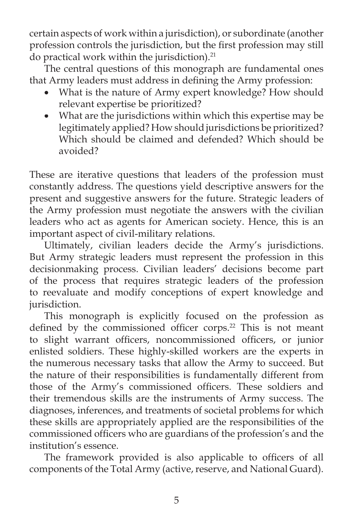certain aspects of work within a jurisdiction), or subordinate (another profession controls the jurisdiction, but the first profession may still do practical work within the jurisdiction). $^{21}$ 

The central questions of this monograph are fundamental ones that Army leaders must address in defining the Army profession:

- What is the nature of Army expert knowledge? How should relevant expertise be prioritized?
- What are the jurisdictions within which this expertise may be legitimately applied? How should jurisdictions be prioritized? Which should be claimed and defended? Which should be avoided?

These are iterative questions that leaders of the profession must constantly address. The questions yield descriptive answers for the present and suggestive answers for the future. Strategic leaders of the Army profession must negotiate the answers with the civilian leaders who act as agents for American society. Hence, this is an important aspect of civil-military relations.

Ultimately, civilian leaders decide the Army's jurisdictions. But Army strategic leaders must represent the profession in this decisionmaking process. Civilian leaders' decisions become part of the process that requires strategic leaders of the profession to reevaluate and modify conceptions of expert knowledge and jurisdiction.

This monograph is explicitly focused on the profession as defined by the commissioned officer corps.<sup>22</sup> This is not meant to slight warrant officers, noncommissioned officers, or junior enlisted soldiers. These highly-skilled workers are the experts in the numerous necessary tasks that allow the Army to succeed. But the nature of their responsibilities is fundamentally different from those of the Army's commissioned officers. These soldiers and their tremendous skills are the instruments of Army success. The diagnoses, inferences, and treatments of societal problems for which these skills are appropriately applied are the responsibilities of the commissioned officers who are guardians of the profession's and the institution's essence.

The framework provided is also applicable to officers of all components of the Total Army (active, reserve, and National Guard).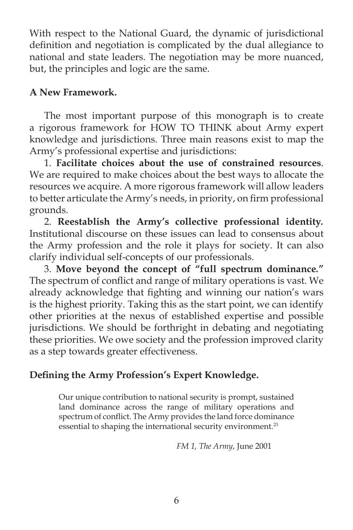With respect to the National Guard, the dynamic of jurisdictional definition and negotiation is complicated by the dual allegiance to national and state leaders. The negotiation may be more nuanced, but, the principles and logic are the same.

# **A New Framework.**

The most important purpose of this monograph is to create a rigorous framework for HOW TO THINK about Army expert knowledge and jurisdictions. Three main reasons exist to map the Army's professional expertise and jurisdictions:

1. **Facilitate choices about the use of constrained resources**. We are required to make choices about the best ways to allocate the resources we acquire. A more rigorous framework will allow leaders to better articulate the Army's needs, in priority, on firm professional grounds.

2. **Reestablish the Army's collective professional identity***.* Institutional discourse on these issues can lead to consensus about the Army profession and the role it plays for society. It can also clarify individual self-concepts of our professionals.

3. **Move beyond the concept of "full spectrum dominance***.***"** The spectrum of conflict and range of military operations is vast. We already acknowledge that fighting and winning our nation's wars is the highest priority. Taking this as the start point, we can identify other priorities at the nexus of established expertise and possible jurisdictions. We should be forthright in debating and negotiating these priorities. We owe society and the profession improved clarity as a step towards greater effectiveness.

# Defining the Army Profession's Expert Knowledge.

Our unique contribution to national security is prompt, sustained land dominance across the range of military operations and spectrum of conflict. The Army provides the land force dominance essential to shaping the international security environment.<sup>23</sup>

*FM 1, The Army*, June 2001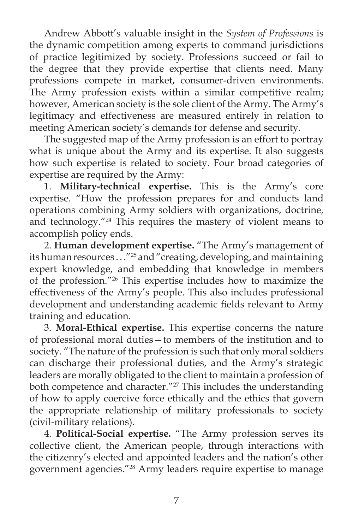Andrew Abbott's valuable insight in the *System of Professions* is the dynamic competition among experts to command jurisdictions of practice legitimized by society. Professions succeed or fail to the degree that they provide expertise that clients need. Many professions compete in market, consumer-driven environments. The Army profession exists within a similar competitive realm; however, American society is the sole client of the Army. The Army's legitimacy and effectiveness are measured entirely in relation to meeting American society's demands for defense and security.

The suggested map of the Army profession is an effort to portray what is unique about the Army and its expertise. It also suggests how such expertise is related to society. Four broad categories of expertise are required by the Army:

1. **Military-technical expertise.** This is the Army's core expertise. "How the profession prepares for and conducts land operations combining Army soldiers with organizations, doctrine, and technology."24 This requires the mastery of violent means to accomplish policy ends.

2. **Human development expertise.** "The Army's management of its human resources  $\ldots$ "<sup>25</sup> and "creating, developing, and maintaining expert knowledge, and embedding that knowledge in members of the profession."26 This expertise includes how to maximize the effectiveness of the Army's people. This also includes professional development and understanding academic fields relevant to Army training and education.

3. **Moral-Ethical expertise.** This expertise concerns the nature of professional moral duties—to members of the institution and to society. "The nature of the profession is such that only moral soldiers can discharge their professional duties, and the Army's strategic leaders are morally obligated to the client to maintain a profession of both competence and character."<sup>27</sup> This includes the understanding of how to apply coercive force ethically and the ethics that govern the appropriate relationship of military professionals to society (civil-military relations).

4. **Political-Social expertise.** "The Army profession serves its collective client, the American people, through interactions with the citizenry's elected and appointed leaders and the nation's other government agencies."28 Army leaders require expertise to manage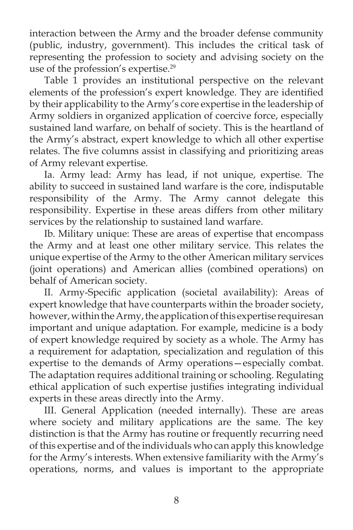interaction between the Army and the broader defense community (public, industry, government). This includes the critical task of representing the profession to society and advising society on the use of the profession's expertise.29

Table 1 provides an institutional perspective on the relevant elements of the profession's expert knowledge. They are identified by their applicability to the Army's core expertise in the leadership of Army soldiers in organized application of coercive force, especially sustained land warfare, on behalf of society. This is the heartland of the Army's abstract, expert knowledge to which all other expertise relates. The five columns assist in classifying and prioritizing areas of Army relevant expertise.

Ia. Army lead: Army has lead, if not unique, expertise. The ability to succeed in sustained land warfare is the core, indisputable responsibility of the Army. The Army cannot delegate this responsibility. Expertise in these areas differs from other military services by the relationship to sustained land warfare.

Ib. Military unique: These are areas of expertise that encompass the Army and at least one other military service. This relates the unique expertise of the Army to the other American military services (joint operations) and American allies (combined operations) on behalf of American society.

II. Army-Specific application (societal availability): Areas of expert knowledge that have counterparts within the broader society, however, within the Army, the application of this expertise requiresan important and unique adaptation. For example, medicine is a body of expert knowledge required by society as a whole. The Army has a requirement for adaptation, specialization and regulation of this expertise to the demands of Army operations—especially combat. The adaptation requires additional training or schooling. Regulating ethical application of such expertise justifies integrating individual experts in these areas directly into the Army.

III. General Application (needed internally). These are areas where society and military applications are the same. The key distinction is that the Army has routine or frequently recurring need of this expertise and of the individuals who can apply this knowledge for the Army's interests. When extensive familiarity with the Army's operations, norms, and values is important to the appropriate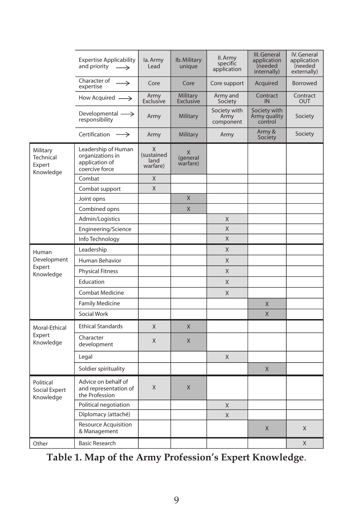|                                              | <b>Expertise Applicability</b><br>and priority<br>$\longrightarrow$         | la. Army<br>Lead                    | Ib. Military<br>unique    | II. Army<br>specific<br>application | III. General<br>application<br>(needed<br>internally) | IV. General<br>application<br>(needed<br>externally) |
|----------------------------------------------|-----------------------------------------------------------------------------|-------------------------------------|---------------------------|-------------------------------------|-------------------------------------------------------|------------------------------------------------------|
|                                              | Character of<br>$\rightarrow$<br>expertise                                  | Core                                | Core                      | Core support                        | Acquired                                              | Borrowed                                             |
|                                              | How Acquired $\longrightarrow$                                              | Army<br>Exclusive                   | Military<br>Exclusive     | Army and<br>Society                 | Contract<br>IN                                        | Contract<br>OUT                                      |
|                                              | Developmental $\longrightarrow$<br>responsibility                           | Army                                | Military                  | Society with<br>Army<br>component   | Society with<br>Army quality<br>control               | Society                                              |
|                                              | Certification $\longrightarrow$                                             | Army                                | Military                  | Army                                | Army &<br>Society                                     | Society                                              |
| Military<br>Technical<br>Expert<br>Knowledge | Leadership of Human<br>organizations in<br>application of<br>coercive force | X<br>(sustained<br>land<br>warfare) | X<br>(general<br>warfare) |                                     |                                                       |                                                      |
|                                              | Combat                                                                      | X                                   |                           |                                     |                                                       |                                                      |
|                                              | Combat support                                                              | X                                   |                           |                                     |                                                       |                                                      |
|                                              | Joint opns                                                                  |                                     | X                         |                                     |                                                       |                                                      |
|                                              | Combined opns                                                               |                                     | X                         |                                     |                                                       |                                                      |
|                                              | Admin/Logistics                                                             |                                     |                           | X                                   |                                                       |                                                      |
|                                              | Engineering/Science                                                         |                                     |                           | X                                   |                                                       |                                                      |
|                                              | Info Technology                                                             |                                     |                           | X                                   |                                                       |                                                      |
| Human<br>Development<br>Expert<br>Knowledge  | Leadership                                                                  |                                     |                           | X                                   |                                                       |                                                      |
|                                              | Human Behavior                                                              |                                     |                           | Χ                                   |                                                       |                                                      |
|                                              | <b>Physical Fitness</b>                                                     |                                     |                           | Χ                                   |                                                       |                                                      |
|                                              | Education                                                                   |                                     |                           | X                                   |                                                       |                                                      |
|                                              | <b>Combat Medicine</b>                                                      |                                     |                           | X                                   |                                                       |                                                      |
|                                              | <b>Family Medicine</b>                                                      |                                     |                           |                                     | X                                                     |                                                      |
|                                              | Social Work                                                                 |                                     |                           |                                     | X                                                     |                                                      |
| Moral-Ethical<br>Expert<br>Knowledge         | <b>Ethical Standards</b>                                                    | X                                   | X                         |                                     |                                                       |                                                      |
|                                              | Character<br>development                                                    | X                                   | X                         |                                     |                                                       |                                                      |
|                                              | Legal                                                                       |                                     |                           | X                                   |                                                       |                                                      |
|                                              | Soldier spirituality                                                        |                                     |                           |                                     | $\mathsf{X}$                                          |                                                      |
| Political<br>Social Expert<br>Knowledge      | Advice on behalf of<br>and representation of<br>the Profession              | X                                   | X                         |                                     |                                                       |                                                      |
|                                              | Political negotiation                                                       |                                     |                           | Χ                                   |                                                       |                                                      |
|                                              | Diplomacy (attaché)                                                         |                                     |                           | X                                   |                                                       |                                                      |
|                                              | Resource Acquisition<br>& Management                                        |                                     |                           |                                     | $\mathsf{X}$                                          | X                                                    |
| Other                                        | <b>Basic Research</b>                                                       |                                     |                           |                                     |                                                       | X                                                    |

**Table 1. Map of the Army Profession's Expert Knowledge**.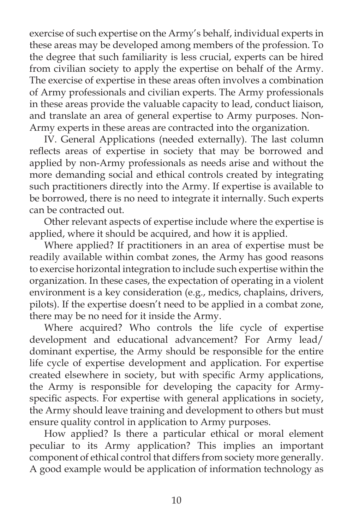exercise of such expertise on the Army's behalf, individual experts in these areas may be developed among members of the profession. To the degree that such familiarity is less crucial, experts can be hired from civilian society to apply the expertise on behalf of the Army. The exercise of expertise in these areas often involves a combination of Army professionals and civilian experts. The Army professionals in these areas provide the valuable capacity to lead, conduct liaison, and translate an area of general expertise to Army purposes. Non-Army experts in these areas are contracted into the organization.

IV. General Applications (needed externally). The last column reflects areas of expertise in society that may be borrowed and applied by non-Army professionals as needs arise and without the more demanding social and ethical controls created by integrating such practitioners directly into the Army. If expertise is available to be borrowed, there is no need to integrate it internally. Such experts can be contracted out.

Other relevant aspects of expertise include where the expertise is applied, where it should be acquired, and how it is applied.

Where applied? If practitioners in an area of expertise must be readily available within combat zones, the Army has good reasons to exercise horizontal integration to include such expertise within the organization. In these cases, the expectation of operating in a violent environment is a key consideration (e.g., medics, chaplains, drivers, pilots). If the expertise doesn't need to be applied in a combat zone, there may be no need for it inside the Army.

Where acquired? Who controls the life cycle of expertise development and educational advancement? For Army lead/ dominant expertise, the Army should be responsible for the entire life cycle of expertise development and application. For expertise created elsewhere in society, but with specific Army applications, the Army is responsible for developing the capacity for Armyspecific aspects. For expertise with general applications in society, the Army should leave training and development to others but must ensure quality control in application to Army purposes.

How applied? Is there a particular ethical or moral element peculiar to its Army application? This implies an important component of ethical control that differs from society more generally. A good example would be application of information technology as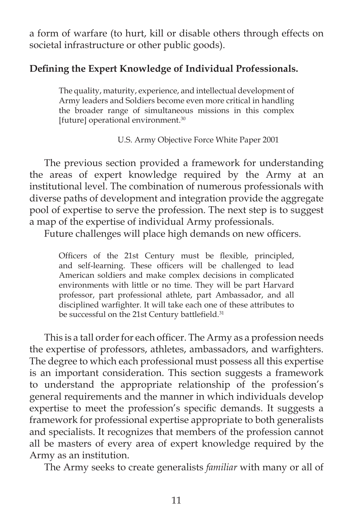a form of warfare (to hurt, kill or disable others through effects on societal infrastructure or other public goods).

### Defining the Expert Knowledge of Individual Professionals.

The quality, maturity, experience, and intellectual development of Army leaders and Soldiers become even more critical in handling the broader range of simultaneous missions in this complex [future] operational environment.<sup>30</sup>

U.S. Army Objective Force White Paper 2001

The previous section provided a framework for understanding the areas of expert knowledge required by the Army at an institutional level. The combination of numerous professionals with diverse paths of development and integration provide the aggregate pool of expertise to serve the profession. The next step is to suggest a map of the expertise of individual Army professionals.

Future challenges will place high demands on new officers.

Officers of the 21st Century must be flexible, principled, and self-learning. These officers will be challenged to lead American soldiers and make complex decisions in complicated environments with little or no time. They will be part Harvard professor, part professional athlete, part Ambassador, and all disciplined warfighter. It will take each one of these attributes to be successful on the 21st Century battlefield.<sup>31</sup>

This is a tall order for each officer. The Army as a profession needs the expertise of professors, athletes, ambassadors, and warfighters. The degree to which each professional must possess all this expertise is an important consideration. This section suggests a framework to understand the appropriate relationship of the profession's general requirements and the manner in which individuals develop expertise to meet the profession's specific demands. It suggests a framework for professional expertise appropriate to both generalists and specialists. It recognizes that members of the profession cannot all be masters of every area of expert knowledge required by the Army as an institution.

The Army seeks to create generalists *familiar* with many or all of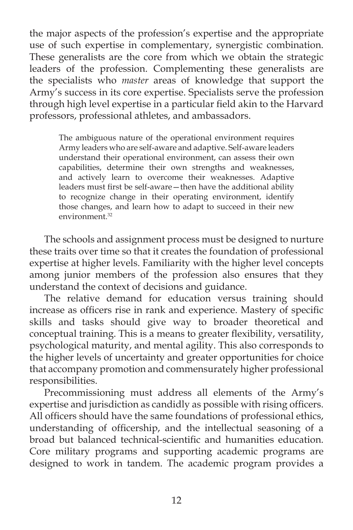the major aspects of the profession's expertise and the appropriate use of such expertise in complementary, synergistic combination. These generalists are the core from which we obtain the strategic leaders of the profession. Complementing these generalists are the specialists who *master* areas of knowledge that support the Army's success in its core expertise. Specialists serve the profession through high level expertise in a particular field akin to the Harvard professors, professional athletes, and ambassadors.

> The ambiguous nature of the operational environment requires Army leaders who are self-aware and adaptive. Self-aware leaders understand their operational environment, can assess their own capabilities, determine their own strengths and weaknesses, and actively learn to overcome their weaknesses. Adaptive leaders must first be self-aware - then have the additional ability to recognize change in their operating environment, identify those changes, and learn how to adapt to succeed in their new environment.<sup>32</sup>

The schools and assignment process must be designed to nurture these traits over time so that it creates the foundation of professional expertise at higher levels. Familiarity with the higher level concepts among junior members of the profession also ensures that they understand the context of decisions and guidance.

The relative demand for education versus training should increase as officers rise in rank and experience. Mastery of specific skills and tasks should give way to broader theoretical and conceptual training. This is a means to greater flexibility, versatility, psychological maturity, and mental agility. This also corresponds to the higher levels of uncertainty and greater opportunities for choice that accompany promotion and commensurately higher professional responsibilities.

Precommissioning must address all elements of the Army's expertise and jurisdiction as candidly as possible with rising officers. All officers should have the same foundations of professional ethics, understanding of officership, and the intellectual seasoning of a broad but balanced technical-scientific and humanities education. Core military programs and supporting academic programs are designed to work in tandem. The academic program provides a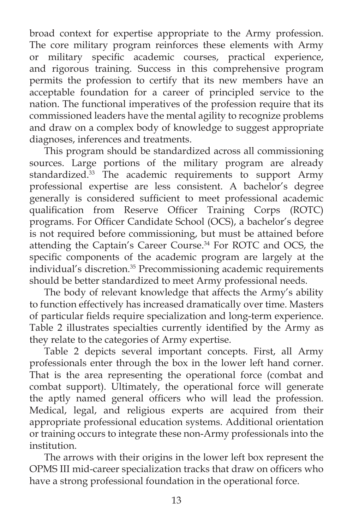broad context for expertise appropriate to the Army profession. The core military program reinforces these elements with Army or military specific academic courses, practical experience, and rigorous training. Success in this comprehensive program permits the profession to certify that its new members have an acceptable foundation for a career of principled service to the nation. The functional imperatives of the profession require that its commissioned leaders have the mental agility to recognize problems and draw on a complex body of knowledge to suggest appropriate diagnoses, inferences and treatments.

This program should be standardized across all commissioning sources. Large portions of the military program are already standardized.<sup>33</sup> The academic requirements to support Army professional expertise are less consistent. A bachelor's degree generally is considered sufficient to meet professional academic qualification from Reserve Officer Training Corps (ROTC) programs. For Officer Candidate School (OCS), a bachelor's degree is not required before commissioning, but must be attained before attending the Captain's Career Course.<sup>34</sup> For ROTC and OCS, the specific components of the academic program are largely at the individual's discretion.35 Precommissioning academic requirements should be better standardized to meet Army professional needs.

The body of relevant knowledge that affects the Army's ability to function effectively has increased dramatically over time. Masters of particular fields require specialization and long-term experience. Table 2 illustrates specialties currently identified by the Army as they relate to the categories of Army expertise.

Table 2 depicts several important concepts. First, all Army professionals enter through the box in the lower left hand corner. That is the area representing the operational force (combat and combat support). Ultimately, the operational force will generate the aptly named general officers who will lead the profession. Medical, legal, and religious experts are acquired from their appropriate professional education systems. Additional orientation or training occurs to integrate these non-Army professionals into the institution.

The arrows with their origins in the lower left box represent the OPMS III mid-career specialization tracks that draw on officers who have a strong professional foundation in the operational force.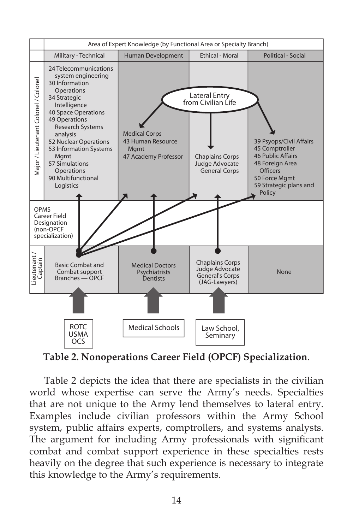

**Table 2. Nonoperations Career Field (OPCF) Specialization**.

Table 2 depicts the idea that there are specialists in the civilian world whose expertise can serve the Army's needs. Specialties that are not unique to the Army lend themselves to lateral entry. Examples include civilian professors within the Army School system, public affairs experts, comptrollers, and systems analysts. The argument for including Army professionals with significant combat and combat support experience in these specialties rests heavily on the degree that such experience is necessary to integrate this knowledge to the Army's requirements.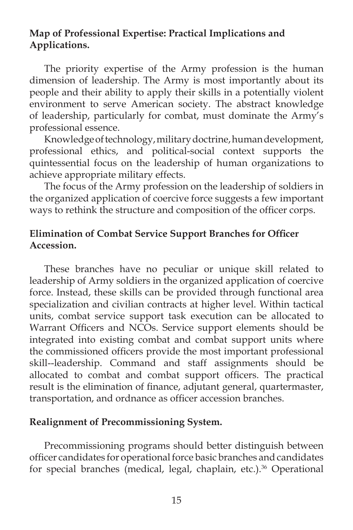# **Map of Professional Expertise: Practical Implications and Applications.**

The priority expertise of the Army profession is the human dimension of leadership. The Army is most importantly about its people and their ability to apply their skills in a potentially violent environment to serve American society. The abstract knowledge of leadership, particularly for combat, must dominate the Army's professional essence.

Knowledge of technology, military doctrine, human development, professional ethics, and political-social context supports the quintessential focus on the leadership of human organizations to achieve appropriate military effects.

The focus of the Army profession on the leadership of soldiers in the organized application of coercive force suggests a few important ways to rethink the structure and composition of the officer corps.

# **Elimination of Combat Service Support Branches for Officer Accession.**

These branches have no peculiar or unique skill related to leadership of Army soldiers in the organized application of coercive force. Instead, these skills can be provided through functional area specialization and civilian contracts at higher level. Within tactical units, combat service support task execution can be allocated to Warrant Officers and NCOs. Service support elements should be integrated into existing combat and combat support units where the commissioned officers provide the most important professional skill--leadership. Command and staff assignments should be allocated to combat and combat support officers. The practical result is the elimination of finance, adjutant general, quartermaster, transportation, and ordnance as officer accession branches.

#### **Realignment of Precommissioning System.**

Precommissioning programs should better distinguish between officer candidates for operational force basic branches and candidates for special branches (medical, legal, chaplain, etc.).<sup>36</sup> Operational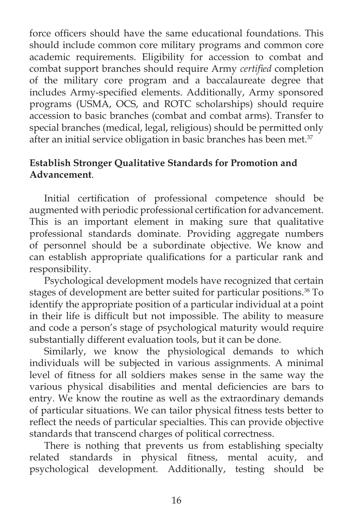force officers should have the same educational foundations. This should include common core military programs and common core academic requirements. Eligibility for accession to combat and combat support branches should require Army *certified* completion of the military core program and a baccalaureate degree that includes Army-specified elements. Additionally, Army sponsored programs (USMA, OCS, and ROTC scholarships) should require accession to basic branches (combat and combat arms). Transfer to special branches (medical, legal, religious) should be permitted only after an initial service obligation in basic branches has been met.<sup>37</sup>

# **Establish Stronger Qualitative Standards for Promotion and Advancement**.

Initial certification of professional competence should be augmented with periodic professional certification for advancement. This is an important element in making sure that qualitative professional standards dominate. Providing aggregate numbers of personnel should be a subordinate objective. We know and can establish appropriate qualifications for a particular rank and responsibility.

Psychological development models have recognized that certain stages of development are better suited for particular positions.<sup>38</sup> To identify the appropriate position of a particular individual at a point in their life is difficult but not impossible. The ability to measure and code a person's stage of psychological maturity would require substantially different evaluation tools, but it can be done.

Similarly, we know the physiological demands to which individuals will be subjected in various assignments. A minimal level of fitness for all soldiers makes sense in the same way the various physical disabilities and mental deficiencies are bars to entry. We know the routine as well as the extraordinary demands of particular situations. We can tailor physical fitness tests better to reflect the needs of particular specialties. This can provide objective standards that transcend charges of political correctness.

There is nothing that prevents us from establishing specialty related standards in physical fitness, mental acuity, and psychological development. Additionally, testing should be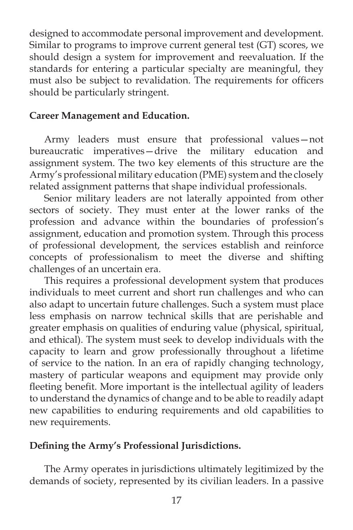designed to accommodate personal improvement and development. Similar to programs to improve current general test (GT) scores, we should design a system for improvement and reevaluation. If the standards for entering a particular specialty are meaningful, they must also be subject to revalidation. The requirements for officers should be particularly stringent.

#### **Career Management and Education.**

Army leaders must ensure that professional values—not bureaucratic imperatives—drive the military education and assignment system. The two key elements of this structure are the Army's professional military education (PME) system and the closely related assignment patterns that shape individual professionals.

Senior military leaders are not laterally appointed from other sectors of society. They must enter at the lower ranks of the profession and advance within the boundaries of profession's assignment, education and promotion system. Through this process of professional development, the services establish and reinforce concepts of professionalism to meet the diverse and shifting challenges of an uncertain era.

This requires a professional development system that produces individuals to meet current and short run challenges and who can also adapt to uncertain future challenges. Such a system must place less emphasis on narrow technical skills that are perishable and greater emphasis on qualities of enduring value (physical, spiritual, and ethical). The system must seek to develop individuals with the capacity to learn and grow professionally throughout a lifetime of service to the nation. In an era of rapidly changing technology, mastery of particular weapons and equipment may provide only fleeting benefit. More important is the intellectual agility of leaders to understand the dynamics of change and to be able to readily adapt new capabilities to enduring requirements and old capabilities to new requirements.

#### Defining the Army's Professional Jurisdictions.

The Army operates in jurisdictions ultimately legitimized by the demands of society, represented by its civilian leaders. In a passive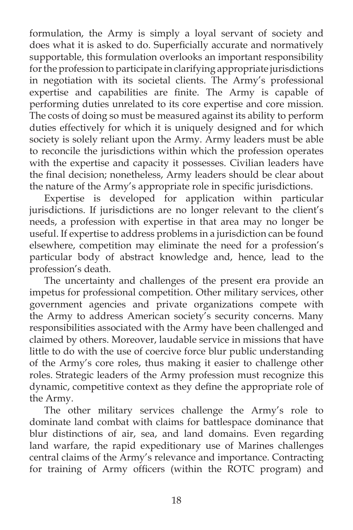formulation, the Army is simply a loyal servant of society and does what it is asked to do. Superficially accurate and normatively supportable, this formulation overlooks an important responsibility for the profession to participate in clarifying appropriate jurisdictions in negotiation with its societal clients. The Army's professional expertise and capabilities are finite. The Army is capable of performing duties unrelated to its core expertise and core mission. The costs of doing so must be measured against its ability to perform duties effectively for which it is uniquely designed and for which society is solely reliant upon the Army. Army leaders must be able to reconcile the jurisdictions within which the profession operates with the expertise and capacity it possesses. Civilian leaders have the final decision; nonetheless, Army leaders should be clear about the nature of the Army's appropriate role in specific jurisdictions.

Expertise is developed for application within particular jurisdictions. If jurisdictions are no longer relevant to the client's needs, a profession with expertise in that area may no longer be useful. If expertise to address problems in a jurisdiction can be found elsewhere, competition may eliminate the need for a profession's particular body of abstract knowledge and, hence, lead to the profession's death.

The uncertainty and challenges of the present era provide an impetus for professional competition. Other military services, other government agencies and private organizations compete with the Army to address American society's security concerns. Many responsibilities associated with the Army have been challenged and claimed by others. Moreover, laudable service in missions that have little to do with the use of coercive force blur public understanding of the Army's core roles, thus making it easier to challenge other roles. Strategic leaders of the Army profession must recognize this dynamic, competitive context as they define the appropriate role of the Army.

The other military services challenge the Army's role to dominate land combat with claims for battlespace dominance that blur distinctions of air, sea, and land domains. Even regarding land warfare, the rapid expeditionary use of Marines challenges central claims of the Army's relevance and importance. Contracting for training of Army officers (within the ROTC program) and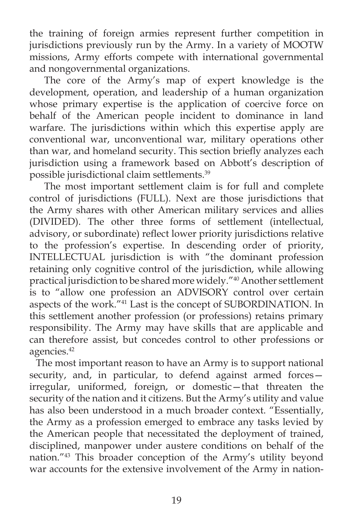the training of foreign armies represent further competition in jurisdictions previously run by the Army. In a variety of MOOTW missions, Army efforts compete with international governmental and nongovernmental organizations.

The core of the Army's map of expert knowledge is the development, operation, and leadership of a human organization whose primary expertise is the application of coercive force on behalf of the American people incident to dominance in land warfare. The jurisdictions within which this expertise apply are conventional war, unconventional war, military operations other than war, and homeland security. This section briefly analyzes each jurisdiction using a framework based on Abbott's description of possible jurisdictional claim settlements.39

The most important settlement claim is for full and complete control of jurisdictions (FULL). Next are those jurisdictions that the Army shares with other American military services and allies (DIVIDED). The other three forms of settlement (intellectual, advisory, or subordinate) reflect lower priority jurisdictions relative to the profession's expertise. In descending order of priority, INTELLECTUAL jurisdiction is with "the dominant profession retaining only cognitive control of the jurisdiction, while allowing practical jurisdiction to be shared more widely."40 Another settlement is to "allow one profession an ADVISORY control over certain aspects of the work."41 Last is the concept of SUBORDINATION. In this settlement another profession (or professions) retains primary responsibility. The Army may have skills that are applicable and can therefore assist, but concedes control to other professions or agencies.<sup>42</sup>

The most important reason to have an Army is to support national security, and, in particular, to defend against armed forcesirregular, uniformed, foreign, or domestic—that threaten the security of the nation and it citizens. But the Army's utility and value has also been understood in a much broader context. "Essentially, the Army as a profession emerged to embrace any tasks levied by the American people that necessitated the deployment of trained, disciplined, manpower under austere conditions on behalf of the nation."43 This broader conception of the Army's utility beyond war accounts for the extensive involvement of the Army in nation-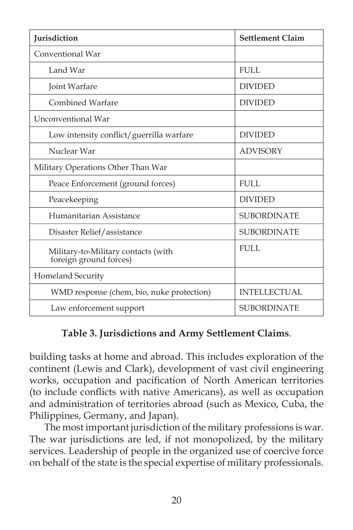| Jurisdiction                                                  | <b>Settlement Claim</b> |  |  |
|---------------------------------------------------------------|-------------------------|--|--|
| Conventional War                                              |                         |  |  |
| Land War                                                      | FULL.                   |  |  |
| Joint Warfare                                                 | <b>DIVIDED</b>          |  |  |
| Combined Warfare                                              | <b>DIVIDED</b>          |  |  |
| Unconventional War                                            |                         |  |  |
| Low intensity conflict/guerrilla warfare                      | <b>DIVIDED</b>          |  |  |
| Nuclear War                                                   | <b>ADVISORY</b>         |  |  |
| Military Operations Other Than War                            |                         |  |  |
| Peace Enforcement (ground forces)                             | FULL.                   |  |  |
| Peacekeeping                                                  | <b>DIVIDED</b>          |  |  |
| Humanitarian Assistance                                       | <b>SUBORDINATE</b>      |  |  |
| Disaster Relief/assistance                                    | <b>SUBORDINATE</b>      |  |  |
| Military-to-Military contacts (with<br>foreign ground forces) | FULL.                   |  |  |
| Homeland Security                                             |                         |  |  |
| WMD response (chem, bio, nuke protection)                     | <b>INTELLECTUAL</b>     |  |  |
| Law enforcement support                                       | <b>SUBORDINATE</b>      |  |  |

# **Table 3. Jurisdictions and Army Settlement Claims**.

building tasks at home and abroad. This includes exploration of the continent (Lewis and Clark), development of vast civil engineering works, occupation and pacification of North American territories (to include conflicts with native Americans), as well as occupation and administration of territories abroad (such as Mexico, Cuba, the Philippines, Germany, and Japan).

The most important jurisdiction of the military professions is war. The war jurisdictions are led, if not monopolized, by the military services. Leadership of people in the organized use of coercive force on behalf of the state is the special expertise of military professionals.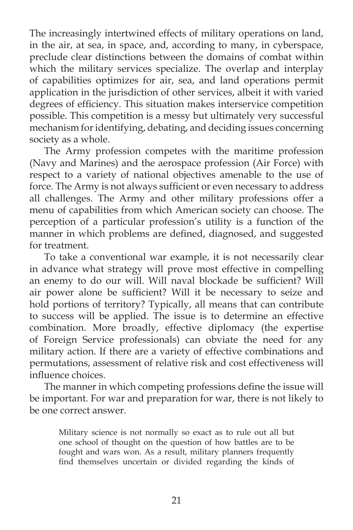The increasingly intertwined effects of military operations on land, in the air, at sea, in space, and, according to many, in cyberspace, preclude clear distinctions between the domains of combat within which the military services specialize. The overlap and interplay of capabilities optimizes for air, sea, and land operations permit application in the jurisdiction of other services, albeit it with varied degrees of efficiency. This situation makes interservice competition possible. This competition is a messy but ultimately very successful mechanism for identifying, debating, and deciding issues concerning society as a whole.

The Army profession competes with the maritime profession (Navy and Marines) and the aerospace profession (Air Force) with respect to a variety of national objectives amenable to the use of force. The Army is not always sufficient or even necessary to address all challenges. The Army and other military professions offer a menu of capabilities from which American society can choose. The perception of a particular profession's utility is a function of the manner in which problems are defined, diagnosed, and suggested for treatment.

To take a conventional war example, it is not necessarily clear in advance what strategy will prove most effective in compelling an enemy to do our will. Will naval blockade be sufficient? Will air power alone be sufficient? Will it be necessary to seize and hold portions of territory? Typically, all means that can contribute to success will be applied. The issue is to determine an effective combination. More broadly, effective diplomacy (the expertise of Foreign Service professionals) can obviate the need for any military action. If there are a variety of effective combinations and permutations, assessment of relative risk and cost effectiveness will influence choices.

The manner in which competing professions define the issue will be important. For war and preparation for war, there is not likely to be one correct answer.

Military science is not normally so exact as to rule out all but one school of thought on the question of how battles are to be fought and wars won. As a result, military planners frequently find themselves uncertain or divided regarding the kinds of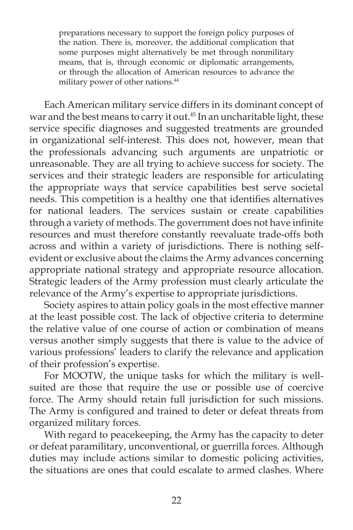preparations necessary to support the foreign policy purposes of the nation. There is, moreover, the additional complication that some purposes might alternatively be met through nonmilitary means, that is, through economic or diplomatic arrangements, or through the allocation of American resources to advance the military power of other nations.<sup>44</sup>

Each American military service differs in its dominant concept of war and the best means to carry it out.<sup>45</sup> In an uncharitable light, these service specific diagnoses and suggested treatments are grounded in organizational self-interest. This does not, however, mean that the professionals advancing such arguments are unpatriotic or unreasonable. They are all trying to achieve success for society. The services and their strategic leaders are responsible for articulating the appropriate ways that service capabilities best serve societal needs. This competition is a healthy one that identifies alternatives for national leaders. The services sustain or create capabilities through a variety of methods. The government does not have infinite resources and must therefore constantly reevaluate trade-offs both across and within a variety of jurisdictions. There is nothing selfevident or exclusive about the claims the Army advances concerning appropriate national strategy and appropriate resource allocation. Strategic leaders of the Army profession must clearly articulate the relevance of the Army's expertise to appropriate jurisdictions.

Society aspires to attain policy goals in the most effective manner at the least possible cost. The lack of objective criteria to determine the relative value of one course of action or combination of means versus another simply suggests that there is value to the advice of various professions' leaders to clarify the relevance and application of their profession's expertise.

For MOOTW, the unique tasks for which the military is wellsuited are those that require the use or possible use of coercive force. The Army should retain full jurisdiction for such missions. The Army is configured and trained to deter or defeat threats from organized military forces.

With regard to peacekeeping, the Army has the capacity to deter or defeat paramilitary, unconventional, or guerrilla forces. Although duties may include actions similar to domestic policing activities, the situations are ones that could escalate to armed clashes. Where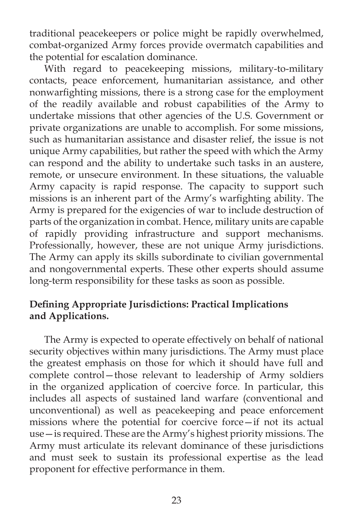traditional peacekeepers or police might be rapidly overwhelmed, combat-organized Army forces provide overmatch capabilities and the potential for escalation dominance.

With regard to peacekeeping missions, military-to-military contacts, peace enforcement, humanitarian assistance, and other nonwarfighting missions, there is a strong case for the employment of the readily available and robust capabilities of the Army to undertake missions that other agencies of the U.S. Government or private organizations are unable to accomplish. For some missions, such as humanitarian assistance and disaster relief, the issue is not unique Army capabilities, but rather the speed with which the Army can respond and the ability to undertake such tasks in an austere, remote, or unsecure environment. In these situations, the valuable Army capacity is rapid response. The capacity to support such missions is an inherent part of the Army's warfighting ability. The Army is prepared for the exigencies of war to include destruction of parts of the organization in combat. Hence, military units are capable of rapidly providing infrastructure and support mechanisms. Professionally, however, these are not unique Army jurisdictions. The Army can apply its skills subordinate to civilian governmental and nongovernmental experts. These other experts should assume long-term responsibility for these tasks as soon as possible.

# **Defining Appropriate Jurisdictions: Practical Implications and Applications.**

The Army is expected to operate effectively on behalf of national security objectives within many jurisdictions. The Army must place the greatest emphasis on those for which it should have full and complete control—those relevant to leadership of Army soldiers in the organized application of coercive force. In particular, this includes all aspects of sustained land warfare (conventional and unconventional) as well as peacekeeping and peace enforcement missions where the potential for coercive force—if not its actual use—is required. These are the Army's highest priority missions. The Army must articulate its relevant dominance of these jurisdictions and must seek to sustain its professional expertise as the lead proponent for effective performance in them.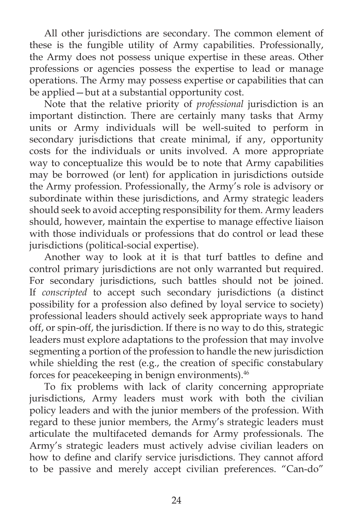All other jurisdictions are secondary. The common element of these is the fungible utility of Army capabilities. Professionally, the Army does not possess unique expertise in these areas. Other professions or agencies possess the expertise to lead or manage operations. The Army may possess expertise or capabilities that can be applied—but at a substantial opportunity cost.

Note that the relative priority of *professional* jurisdiction is an important distinction. There are certainly many tasks that Army units or Army individuals will be well-suited to perform in secondary jurisdictions that create minimal, if any, opportunity costs for the individuals or units involved. A more appropriate way to conceptualize this would be to note that Army capabilities may be borrowed (or lent) for application in jurisdictions outside the Army profession. Professionally, the Army's role is advisory or subordinate within these jurisdictions, and Army strategic leaders should seek to avoid accepting responsibility for them. Army leaders should, however, maintain the expertise to manage effective liaison with those individuals or professions that do control or lead these jurisdictions (political-social expertise).

Another way to look at it is that turf battles to define and control primary jurisdictions are not only warranted but required. For secondary jurisdictions, such battles should not be joined. If *conscripted* to accept such secondary jurisdictions (a distinct possibility for a profession also defined by loyal service to society) professional leaders should actively seek appropriate ways to hand off, or spin-off, the jurisdiction. If there is no way to do this, strategic leaders must explore adaptations to the profession that may involve segmenting a portion of the profession to handle the new jurisdiction while shielding the rest (e.g., the creation of specific constabulary forces for peacekeeping in benign environments).<sup>46</sup>

To fix problems with lack of clarity concerning appropriate jurisdictions, Army leaders must work with both the civilian policy leaders and with the junior members of the profession. With regard to these junior members, the Army's strategic leaders must articulate the multifaceted demands for Army professionals. The Army's strategic leaders must actively advise civilian leaders on how to define and clarify service jurisdictions. They cannot afford to be passive and merely accept civilian preferences. "Can-do"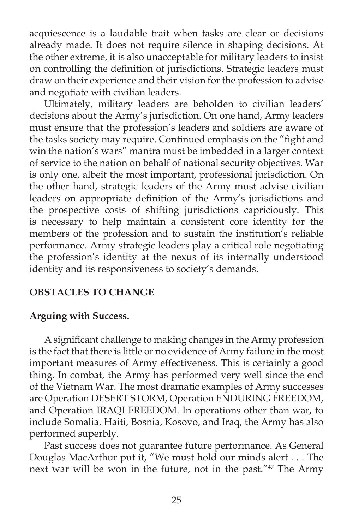acquiescence is a laudable trait when tasks are clear or decisions already made. It does not require silence in shaping decisions. At the other extreme, it is also unacceptable for military leaders to insist on controlling the definition of jurisdictions. Strategic leaders must draw on their experience and their vision for the profession to advise and negotiate with civilian leaders.

Ultimately, military leaders are beholden to civilian leaders' decisions about the Army's jurisdiction. On one hand, Army leaders must ensure that the profession's leaders and soldiers are aware of the tasks society may require. Continued emphasis on the "fight and win the nation's wars" mantra must be imbedded in a larger context of service to the nation on behalf of national security objectives. War is only one, albeit the most important, professional jurisdiction. On the other hand, strategic leaders of the Army must advise civilian leaders on appropriate definition of the Army's jurisdictions and the prospective costs of shifting jurisdictions capriciously. This is necessary to help maintain a consistent core identity for the members of the profession and to sustain the institution's reliable performance. Army strategic leaders play a critical role negotiating the profession's identity at the nexus of its internally understood identity and its responsiveness to society's demands.

# **OBSTACLES TO CHANGE**

#### **Arguing with Success.**

A significant challenge to making changes in the Army profession is the fact that there is little or no evidence of Army failure in the most important measures of Army effectiveness. This is certainly a good thing. In combat, the Army has performed very well since the end of the Vietnam War. The most dramatic examples of Army successes are Operation DESERT STORM, Operation ENDURING FREEDOM, and Operation IRAQI FREEDOM. In operations other than war, to include Somalia, Haiti, Bosnia, Kosovo, and Iraq, the Army has also performed superbly.

Past success does not guarantee future performance. As General Douglas MacArthur put it, "We must hold our minds alert . . . The next war will be won in the future, not in the past."<sup>47</sup> The Army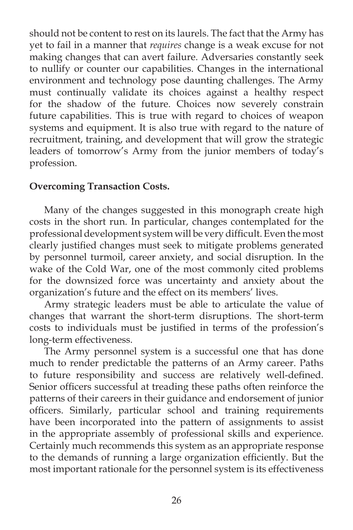should not be content to rest on its laurels. The fact that the Army has yet to fail in a manner that *requires* change is a weak excuse for not making changes that can avert failure. Adversaries constantly seek to nullify or counter our capabilities. Changes in the international environment and technology pose daunting challenges. The Army must continually validate its choices against a healthy respect for the shadow of the future. Choices now severely constrain future capabilities. This is true with regard to choices of weapon systems and equipment. It is also true with regard to the nature of recruitment, training, and development that will grow the strategic leaders of tomorrow's Army from the junior members of today's profession.

# **Overcoming Transaction Costs.**

Many of the changes suggested in this monograph create high costs in the short run. In particular, changes contemplated for the professional development system will be very difficult. Even the most clearly justified changes must seek to mitigate problems generated by personnel turmoil, career anxiety, and social disruption. In the wake of the Cold War, one of the most commonly cited problems for the downsized force was uncertainty and anxiety about the organization's future and the effect on its members' lives.

Army strategic leaders must be able to articulate the value of changes that warrant the short-term disruptions. The short-term costs to individuals must be justified in terms of the profession's long-term effectiveness.

The Army personnel system is a successful one that has done much to render predictable the patterns of an Army career. Paths to future responsibility and success are relatively well-defined. Senior officers successful at treading these paths often reinforce the patterns of their careers in their guidance and endorsement of junior officers. Similarly, particular school and training requirements have been incorporated into the pattern of assignments to assist in the appropriate assembly of professional skills and experience. Certainly much recommends this system as an appropriate response to the demands of running a large organization efficiently. But the most important rationale for the personnel system is its effectiveness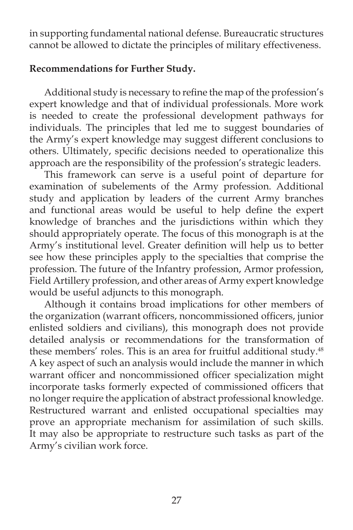in supporting fundamental national defense. Bureaucratic structures cannot be allowed to dictate the principles of military effectiveness.

### **Recommendations for Further Study.**

Additional study is necessary to refine the map of the profession's expert knowledge and that of individual professionals. More work is needed to create the professional development pathways for individuals. The principles that led me to suggest boundaries of the Army's expert knowledge may suggest different conclusions to others. Ultimately, specific decisions needed to operationalize this approach are the responsibility of the profession's strategic leaders.

This framework can serve is a useful point of departure for examination of subelements of the Army profession. Additional study and application by leaders of the current Army branches and functional areas would be useful to help define the expert knowledge of branches and the jurisdictions within which they should appropriately operate. The focus of this monograph is at the Army's institutional level. Greater definition will help us to better see how these principles apply to the specialties that comprise the profession. The future of the Infantry profession, Armor profession, Field Artillery profession, and other areas of Army expert knowledge would be useful adjuncts to this monograph.

Although it contains broad implications for other members of the organization (warrant officers, noncommissioned officers, junior enlisted soldiers and civilians), this monograph does not provide detailed analysis or recommendations for the transformation of these members' roles. This is an area for fruitful additional study.<sup>48</sup> A key aspect of such an analysis would include the manner in which warrant officer and noncommissioned officer specialization might incorporate tasks formerly expected of commissioned officers that no longer require the application of abstract professional knowledge. Restructured warrant and enlisted occupational specialties may prove an appropriate mechanism for assimilation of such skills. It may also be appropriate to restructure such tasks as part of the Army's civilian work force.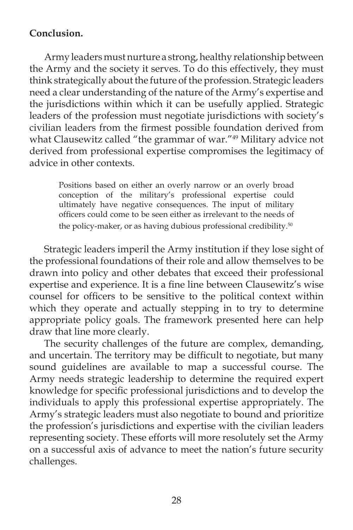# **Conclusion.**

Army leaders must nurture a strong, healthy relationship between the Army and the society it serves. To do this effectively, they must think strategically about the future of the profession. Strategic leaders need a clear understanding of the nature of the Army's expertise and the jurisdictions within which it can be usefully applied. Strategic leaders of the profession must negotiate jurisdictions with society's civilian leaders from the firmest possible foundation derived from what Clausewitz called "the grammar of war."<sup>49</sup> Military advice not derived from professional expertise compromises the legitimacy of advice in other contexts.

Positions based on either an overly narrow or an overly broad conception of the military's professional expertise could ultimately have negative consequences. The input of military officers could come to be seen either as irrelevant to the needs of the policy-maker, or as having dubious professional credibility.<sup>50</sup>

Strategic leaders imperil the Army institution if they lose sight of the professional foundations of their role and allow themselves to be drawn into policy and other debates that exceed their professional expertise and experience. It is a fine line between Clausewitz's wise counsel for officers to be sensitive to the political context within which they operate and actually stepping in to try to determine appropriate policy goals. The framework presented here can help draw that line more clearly.

The security challenges of the future are complex, demanding, and uncertain. The territory may be difficult to negotiate, but many sound guidelines are available to map a successful course. The Army needs strategic leadership to determine the required expert knowledge for specific professional jurisdictions and to develop the individuals to apply this professional expertise appropriately. The Army's strategic leaders must also negotiate to bound and prioritize the profession's jurisdictions and expertise with the civilian leaders representing society. These efforts will more resolutely set the Army on a successful axis of advance to meet the nation's future security challenges.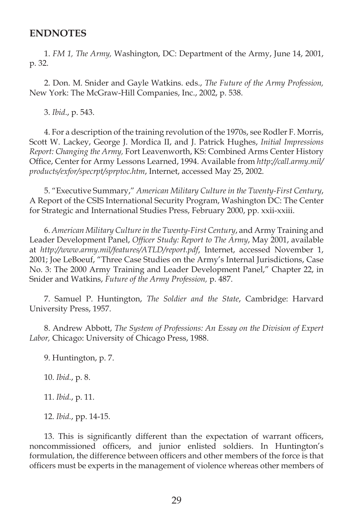#### **ENDNOTES**

1. *FM 1, The Army,* Washington, DC: Department of the Army, June 14, 2001, p. 32.

2. Don. M. Snider and Gayle Watkins. eds., *The Future of the Army Profession,* New York: The McGraw-Hill Companies, Inc., 2002, p. 538.

3. *Ibid*., p. 543.

4. For a description of the training revolution of the 1970s, see Rodler F. Morris, Scott W. Lackey, George J. Mordica II, and J. Patrick Hughes, *Initial Impressions Report: Changing the Army,* Fort Leavenworth, KS: Combined Arms Center History Offi ce, Center for Army Lessons Learned, 1994. Available from *http://call.army.mil/ products/exfor/specrpt/sprptoc.htm*, Internet, accessed May 25, 2002.

5. "Executive Summary," *American Military Culture in the Twenty-First Century*, A Report of the CSIS International Security Program, Washington DC: The Center for Strategic and International Studies Press, February 2000, pp. xxii-xxiii.

6. *American Military Culture in the Twenty-First Century*, and Army Training and Leader Development Panel, *Officer Study: Report to The Army*, May 2001, available at *http://www.army.mil/features/ATLD/report.pdf*, Internet, accessed November 1, 2001; Joe LeBoeuf, "Three Case Studies on the Army's Internal Jurisdictions, Case No. 3: The 2000 Army Training and Leader Development Panel," Chapter 22, in Snider and Watkins, *Future of the Army Profession,* p. 487.

7. Samuel P. Huntington, *The Soldier and the State*, Cambridge: Harvard University Press, 1957.

8. Andrew Abbott, *The System of Professions: An Essay on the Division of Expert Labor,* Chicago: University of Chicago Press, 1988.

9. Huntington, p. 7.

10. *Ibid.*, p. 8.

11. *Ibid.*, p. 11.

12. *Ibid.*, pp. 14-15.

13. This is significantly different than the expectation of warrant officers, noncommissioned officers, and junior enlisted soldiers. In Huntington's formulation, the difference between officers and other members of the force is that officers must be experts in the management of violence whereas other members of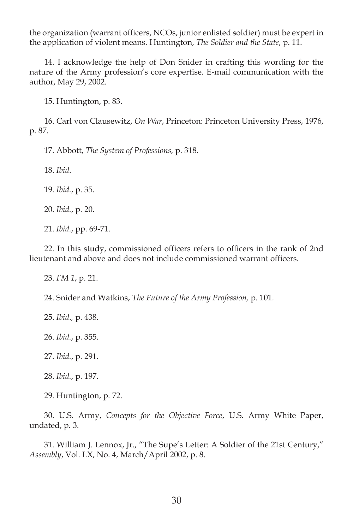the organization (warrant officers, NCOs, junior enlisted soldier) must be expert in the application of violent means. Huntington, *The Soldier and the State*, p. 11.

14. I acknowledge the help of Don Snider in crafting this wording for the nature of the Army profession's core expertise. E-mail communication with the author, May 29, 2002.

15. Huntington, p. 83.

16. Carl von Clausewitz, *On War*, Princeton: Princeton University Press, 1976, 1976, p. 87.

17. Abbott, *The System of Professions,* p. 318.

18. *Ibid*.

19. *Ibid.*, p. 35.

20. *Ibid.*, p. 20.

21. *Ibid.*, pp. 69-71.

22. In this study, commissioned officers refers to officers in the rank of 2nd lieutenant and above and does not include commissioned warrant officers.

23. *FM 1*, p. 21.

24. Snider and Watkins, *The Future of the Army Profession,* p. 101.

25. *Ibid*.*,* p. 438.

26. *Ibid.*, p. 355.

27. *Ibid.*, p. 291.

28. *Ibid.*, p. 197.

29. Huntington, p. 72.

30. U.S. Army, *Concepts for the Objective Force*, U.S. Army White Paper, undated, p. 3.

31. William J. Lennox, Jr., "The Supe's Letter: A Soldier of the 21st Century," *Assembly*, Vol. LX, No. 4, March/April 2002, p. 8.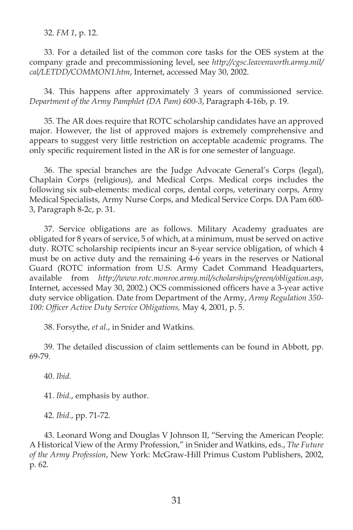32. *FM 1*, p. 12.

33. For a detailed list of the common core tasks for the OES system at the company grade and precommissioning level, see *http://cgsc.leavenworth.army.mil/ cal/LETDD/COMMON1.htm*, Internet, accessed May 30, 2002.

34. This happens after approximately 3 years of commissioned service. *Department of the Army Pamphlet (DA Pam) 600-3*, Paragraph 4-16b, p. 19.

35. The AR does require that ROTC scholarship candidates have an approved major. However, the list of approved majors is extremely comprehensive and appears to suggest very little restriction on acceptable academic programs. The only specific requirement listed in the AR is for one semester of language.

36. The special branches are the Judge Advocate General's Corps (legal), Chaplain Corps (religious), and Medical Corps. Medical corps includes the following six sub-elements: medical corps, dental corps, veterinary corps, Army Medical Specialists, Army Nurse Corps, and Medical Service Corps. DA Pam 600- 3, Paragraph 8-2c, p. 31.

37. Service obligations are as follows. Military Academy graduates are obligated for 8 years of service, 5 of which, at a minimum, must be served on active duty. ROTC scholarship recipients incur an 8-year service obligation, of which 4 must be on active duty and the remaining 4-6 years in the reserves or National Guard (ROTC information from U.S. Army Cadet Command Headquarters, available from *http://www.rotc.monroe.army.mil/scholarships/green/obligation.asp*, Internet, accessed May 30, 2002.) OCS commissioned officers have a 3-year active duty service obligation. Date from Department of the Army, *Army Regulation 350-* 100: Officer Active Duty Service Obligations, May 4, 2001, p. 5.

38. Forsythe, *et al.*, in Snider and Watkins.

39. The detailed discussion of claim settlements can be found in Abbott, pp. 69-79.

40. *Ibid.*

41. *Ibid.*, emphasis by author.

42. *Ibid.*, pp. 71-72.

43. Leonard Wong and Douglas V Johnson II, "Serving the American People: A Historical View of the Army Profession," in Snider and Watkins, eds., *The Future of the Army Profession*, New York: McGraw-Hill Primus Custom Publishers, 2002, p. 62.